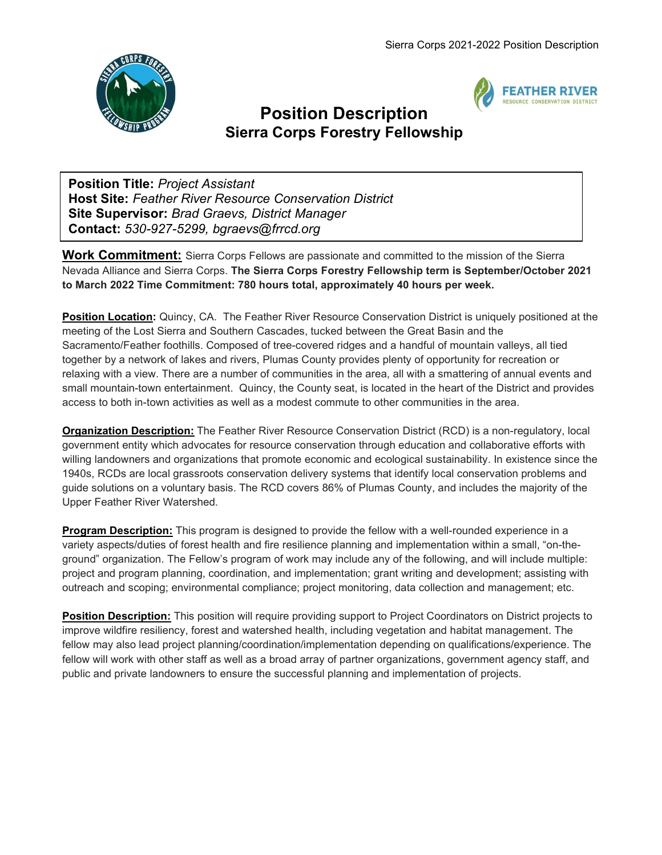

l.



## Position Description Sierra Corps Forestry Fellowship

Position Title: Project Assistant Host Site: Feather River Resource Conservation District Site Supervisor: Brad Graevs, District Manager Contact: 530-927-5299, bgraevs@frrcd.org

**Work Commitment:** Sierra Corps Fellows are passionate and committed to the mission of the Sierra Nevada Alliance and Sierra Corps. The Sierra Corps Forestry Fellowship term is September/October 2021 to March 2022 Time Commitment: 780 hours total, approximately 40 hours per week.

Position Location: Quincy, CA. The Feather River Resource Conservation District is uniquely positioned at the meeting of the Lost Sierra and Southern Cascades, tucked between the Great Basin and the Sacramento/Feather foothills. Composed of tree-covered ridges and a handful of mountain valleys, all tied together by a network of lakes and rivers, Plumas County provides plenty of opportunity for recreation or relaxing with a view. There are a number of communities in the area, all with a smattering of annual events and small mountain-town entertainment. Quincy, the County seat, is located in the heart of the District and provides access to both in-town activities as well as a modest commute to other communities in the area.

**Organization Description:** The Feather River Resource Conservation District (RCD) is a non-regulatory, local government entity which advocates for resource conservation through education and collaborative efforts with willing landowners and organizations that promote economic and ecological sustainability. In existence since the 1940s, RCDs are local grassroots conservation delivery systems that identify local conservation problems and guide solutions on a voluntary basis. The RCD covers 86% of Plumas County, and includes the majority of the Upper Feather River Watershed.

**Program Description:** This program is designed to provide the fellow with a well-rounded experience in a variety aspects/duties of forest health and fire resilience planning and implementation within a small, "on-theground" organization. The Fellow's program of work may include any of the following, and will include multiple: project and program planning, coordination, and implementation; grant writing and development; assisting with outreach and scoping; environmental compliance; project monitoring, data collection and management; etc.

Position Description: This position will require providing support to Project Coordinators on District projects to improve wildfire resiliency, forest and watershed health, including vegetation and habitat management. The fellow may also lead project planning/coordination/implementation depending on qualifications/experience. The fellow will work with other staff as well as a broad array of partner organizations, government agency staff, and public and private landowners to ensure the successful planning and implementation of projects.